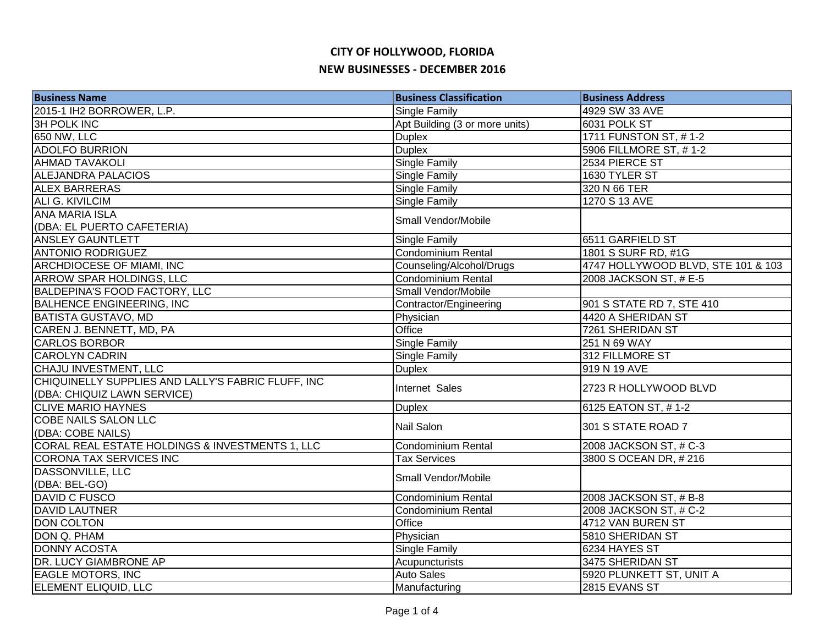| <b>Business Name</b>                                                              | <b>Business Classification</b> | <b>Business Address</b>            |
|-----------------------------------------------------------------------------------|--------------------------------|------------------------------------|
| 2015-1 IH2 BORROWER, L.P.                                                         | Single Family                  | 4929 SW 33 AVE                     |
| <b>3H POLK INC</b>                                                                | Apt Building (3 or more units) | 6031 POLK ST                       |
| 650 NW, LLC                                                                       | <b>Duplex</b>                  | 1711 FUNSTON ST, #1-2              |
| <b>ADOLFO BURRION</b>                                                             | <b>Duplex</b>                  | 5906 FILLMORE ST, #1-2             |
| <b>AHMAD TAVAKOLI</b>                                                             | <b>Single Family</b>           | 2534 PIERCE ST                     |
| <b>ALEJANDRA PALACIOS</b>                                                         | <b>Single Family</b>           | 1630 TYLER ST                      |
| <b>ALEX BARRERAS</b>                                                              | <b>Single Family</b>           | 320 N 66 TER                       |
| ALI G. KIVILCIM                                                                   | <b>Single Family</b>           | 1270 S 13 AVE                      |
| <b>ANA MARIA ISLA</b>                                                             | Small Vendor/Mobile            |                                    |
| (DBA: EL PUERTO CAFETERIA)                                                        |                                |                                    |
| <b>ANSLEY GAUNTLETT</b>                                                           | <b>Single Family</b>           | 6511 GARFIELD ST                   |
| <b>ANTONIO RODRIGUEZ</b>                                                          | Condominium Rental             | 1801 S SURF RD, #1G                |
| ARCHDIOCESE OF MIAMI, INC                                                         | Counseling/Alcohol/Drugs       | 4747 HOLLYWOOD BLVD, STE 101 & 103 |
| ARROW SPAR HOLDINGS, LLC                                                          | Condominium Rental             | 2008 JACKSON ST, # E-5             |
| <b>BALDEPINA'S FOOD FACTORY, LLC</b>                                              | Small Vendor/Mobile            |                                    |
| <b>BALHENCE ENGINEERING, INC</b>                                                  | Contractor/Engineering         | 901 S STATE RD 7, STE 410          |
| <b>BATISTA GUSTAVO, MD</b>                                                        | Physician                      | 4420 A SHERIDAN ST                 |
| CAREN J. BENNETT, MD, PA                                                          | Office                         | 7261 SHERIDAN ST                   |
| <b>CARLOS BORBOR</b>                                                              | <b>Single Family</b>           | 251 N 69 WAY                       |
| <b>CAROLYN CADRIN</b>                                                             | <b>Single Family</b>           | 312 FILLMORE ST                    |
| <b>CHAJU INVESTMENT, LLC</b>                                                      | <b>Duplex</b>                  | 919 N 19 AVE                       |
| CHIQUINELLY SUPPLIES AND LALLY'S FABRIC FLUFF, INC<br>(DBA: CHIQUIZ LAWN SERVICE) | Internet Sales                 | 2723 R HOLLYWOOD BLVD              |
| <b>CLIVE MARIO HAYNES</b>                                                         | <b>Duplex</b>                  | 6125 EATON ST, #1-2                |
| <b>COBE NAILS SALON LLC</b>                                                       |                                |                                    |
| (DBA: COBE NAILS)                                                                 | <b>Nail Salon</b>              | 301 S STATE ROAD 7                 |
| CORAL REAL ESTATE HOLDINGS & INVESTMENTS 1, LLC                                   | Condominium Rental             | 2008 JACKSON ST, # C-3             |
| <b>CORONA TAX SERVICES INC</b>                                                    | <b>Tax Services</b>            | 3800 S OCEAN DR, #216              |
| DASSONVILLE, LLC                                                                  |                                |                                    |
| (DBA: BEL-GO)                                                                     | Small Vendor/Mobile            |                                    |
| DAVID C FUSCO                                                                     | Condominium Rental             | 2008 JACKSON ST, # B-8             |
| <b>DAVID LAUTNER</b>                                                              | <b>Condominium Rental</b>      | 2008 JACKSON ST, # C-2             |
| <b>DON COLTON</b>                                                                 | Office                         | 4712 VAN BUREN ST                  |
| DON Q. PHAM                                                                       | Physician                      | 5810 SHERIDAN ST                   |
| <b>DONNY ACOSTA</b>                                                               | <b>Single Family</b>           | 6234 HAYES ST                      |
| DR. LUCY GIAMBRONE AP                                                             | Acupuncturists                 | 3475 SHERIDAN ST                   |
| <b>EAGLE MOTORS, INC</b>                                                          | <b>Auto Sales</b>              | 5920 PLUNKETT ST, UNIT A           |
| ELEMENT ELIQUID, LLC                                                              | Manufacturing                  | 2815 EVANS ST                      |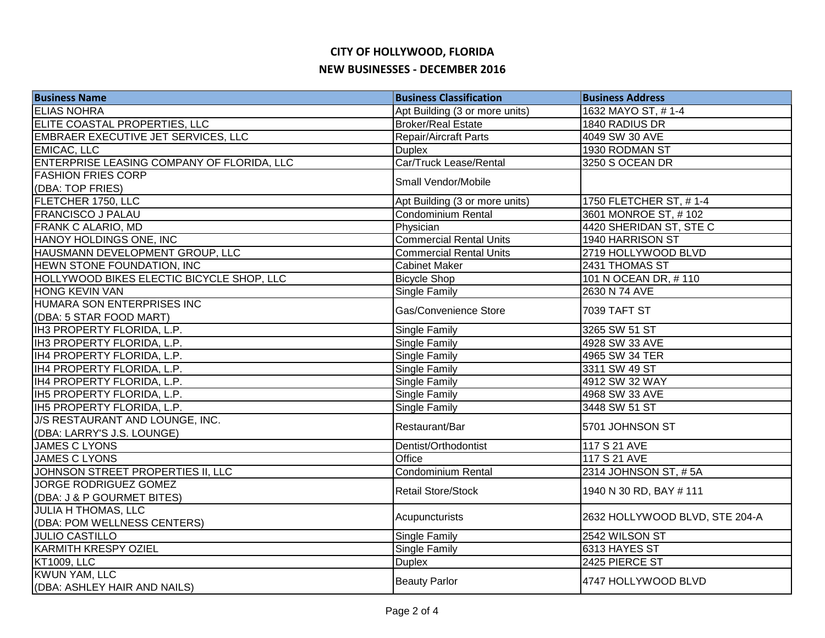| <b>Business Name</b>                                          | <b>Business Classification</b> | <b>Business Address</b>        |
|---------------------------------------------------------------|--------------------------------|--------------------------------|
| <b>ELIAS NOHRA</b>                                            | Apt Building (3 or more units) | 1632 MAYO ST, #1-4             |
| ELITE COASTAL PROPERTIES, LLC                                 | <b>Broker/Real Estate</b>      | 1840 RADIUS DR                 |
| EMBRAER EXECUTIVE JET SERVICES, LLC                           | <b>Repair/Aircraft Parts</b>   | 4049 SW 30 AVE                 |
| <b>EMICAC, LLC</b>                                            | <b>Duplex</b>                  | 1930 RODMAN ST                 |
| ENTERPRISE LEASING COMPANY OF FLORIDA, LLC                    | Car/Truck Lease/Rental         | 3250 S OCEAN DR                |
| <b>FASHION FRIES CORP</b>                                     | Small Vendor/Mobile            |                                |
| (DBA: TOP FRIES)<br>FLETCHER 1750, LLC                        | Apt Building (3 or more units) | 1750 FLETCHER ST, #1-4         |
| <b>FRANCISCO J PALAU</b>                                      | Condominium Rental             | 3601 MONROE ST, #102           |
| FRANK C ALARIO, MD                                            | Physician                      | 4420 SHERIDAN ST, STE C        |
| HANOY HOLDINGS ONE, INC                                       | <b>Commercial Rental Units</b> | 1940 HARRISON ST               |
| HAUSMANN DEVELOPMENT GROUP, LLC                               | <b>Commercial Rental Units</b> | 2719 HOLLYWOOD BLVD            |
| HEWN STONE FOUNDATION, INC                                    | <b>Cabinet Maker</b>           | 2431 THOMAS ST                 |
| HOLLYWOOD BIKES ELECTIC BICYCLE SHOP, LLC                     |                                | 101 N OCEAN DR, #110           |
|                                                               | <b>Bicycle Shop</b>            |                                |
| <b>HONG KEVIN VAN</b><br>HUMARA SON ENTERPRISES INC           | <b>Single Family</b>           | 2630 N 74 AVE                  |
| (DBA: 5 STAR FOOD MART)                                       | Gas/Convenience Store          | 7039 TAFT ST                   |
| IH3 PROPERTY FLORIDA, L.P.                                    | Single Family                  | 3265 SW 51 ST                  |
| IH3 PROPERTY FLORIDA, L.P.                                    | <b>Single Family</b>           | 4928 SW 33 AVE                 |
| IH4 PROPERTY FLORIDA, L.P.                                    | Single Family                  | 4965 SW 34 TER                 |
| IH4 PROPERTY FLORIDA, L.P.                                    | <b>Single Family</b>           | 3311 SW 49 ST                  |
| IH4 PROPERTY FLORIDA, L.P.                                    | <b>Single Family</b>           | 4912 SW 32 WAY                 |
| IH5 PROPERTY FLORIDA, L.P.                                    | Single Family                  | 4968 SW 33 AVE                 |
| IH5 PROPERTY FLORIDA, L.P.                                    | Single Family                  | 3448 SW 51 ST                  |
| J/S RESTAURANT AND LOUNGE, INC.<br>(DBA: LARRY'S J.S. LOUNGE) | Restaurant/Bar                 | 5701 JOHNSON ST                |
| <b>JAMES C LYONS</b>                                          | Dentist/Orthodontist           | 117 S 21 AVE                   |
| <b>JAMES C LYONS</b>                                          | Office                         | 117 S 21 AVE                   |
| JOHNSON STREET PROPERTIES II, LLC                             | <b>Condominium Rental</b>      | 2314 JOHNSON ST, #5A           |
| JORGE RODRIGUEZ GOMEZ                                         |                                |                                |
| (DBA: J & P GOURMET BITES)                                    | <b>Retail Store/Stock</b>      | 1940 N 30 RD, BAY # 111        |
| <b>JULIA H THOMAS, LLC</b>                                    | Acupuncturists                 | 2632 HOLLYWOOD BLVD, STE 204-A |
| (DBA: POM WELLNESS CENTERS)                                   |                                |                                |
| <b>JULIO CASTILLO</b>                                         | Single Family                  | 2542 WILSON ST                 |
| <b>KARMITH KRESPY OZIEL</b>                                   | Single Family                  | 6313 HAYES ST                  |
| <b>KT1009, LLC</b>                                            | <b>Duplex</b>                  | 2425 PIERCE ST                 |
| <b>KWUN YAM, LLC</b><br>(DBA: ASHLEY HAIR AND NAILS)          | <b>Beauty Parlor</b>           | 4747 HOLLYWOOD BLVD            |
|                                                               |                                |                                |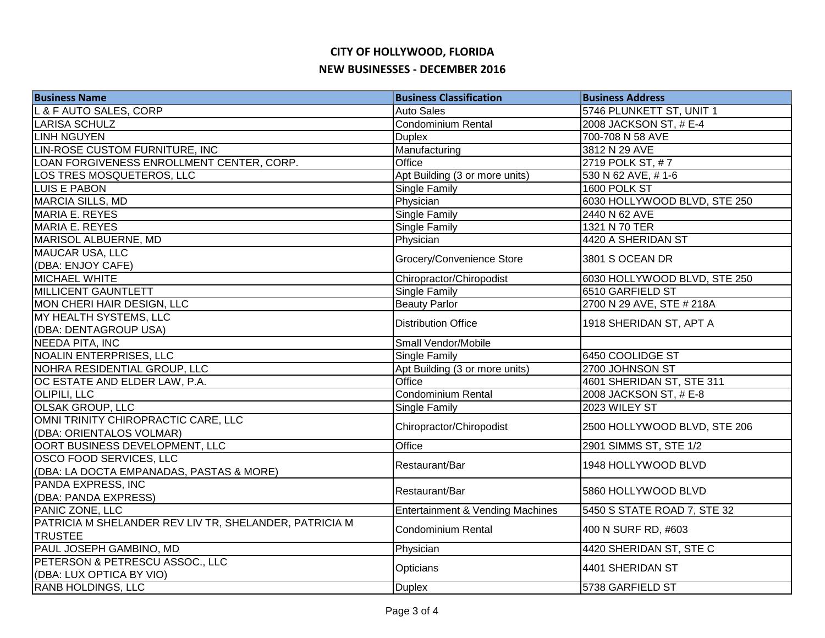| <b>Business Name</b>                                   | <b>Business Classification</b>   | <b>Business Address</b>      |
|--------------------------------------------------------|----------------------------------|------------------------------|
| L & F AUTO SALES, CORP                                 | <b>Auto Sales</b>                | 5746 PLUNKETT ST, UNIT 1     |
| <b>LARISA SCHULZ</b>                                   | Condominium Rental               | 2008 JACKSON ST, # E-4       |
| <b>LINH NGUYEN</b>                                     | <b>Duplex</b>                    | 700-708 N 58 AVE             |
| LIN-ROSE CUSTOM FURNITURE, INC                         | Manufacturing                    | 3812 N 29 AVE                |
| LOAN FORGIVENESS ENROLLMENT CENTER, CORP.              | Office                           | 2719 POLK ST, #7             |
| LOS TRES MOSQUETEROS, LLC                              | Apt Building (3 or more units)   | 530 N 62 AVE, #1-6           |
| <b>LUIS E PABON</b>                                    | <b>Single Family</b>             | 1600 POLK ST                 |
| <b>MARCIA SILLS, MD</b>                                | Physician                        | 6030 HOLLYWOOD BLVD, STE 250 |
| MARIA E. REYES                                         | Single Family                    | 2440 N 62 AVE                |
| <b>MARIA E. REYES</b>                                  | Single Family                    | 1321 N 70 TER                |
| MARISOL ALBUERNE, MD                                   | Physician                        | 4420 A SHERIDAN ST           |
| <b>MAUCAR USA, LLC</b>                                 | Grocery/Convenience Store        | 3801 S OCEAN DR              |
| (DBA: ENJOY CAFE)                                      |                                  |                              |
| MICHAEL WHITE                                          | Chiropractor/Chiropodist         | 6030 HOLLYWOOD BLVD, STE 250 |
| <b>MILLICENT GAUNTLETT</b>                             | Single Family                    | 6510 GARFIELD ST             |
| MON CHERI HAIR DESIGN, LLC                             | <b>Beauty Parlor</b>             | 2700 N 29 AVE, STE # 218A    |
| MY HEALTH SYSTEMS, LLC                                 | <b>Distribution Office</b>       | 1918 SHERIDAN ST, APT A      |
| (DBA: DENTAGROUP USA)                                  |                                  |                              |
| NEEDA PITA, INC                                        | Small Vendor/Mobile              |                              |
| <b>NOALIN ENTERPRISES, LLC</b>                         | Single Family                    | 6450 COOLIDGE ST             |
| NOHRA RESIDENTIAL GROUP, LLC                           | Apt Building (3 or more units)   | 2700 JOHNSON ST              |
| OC ESTATE AND ELDER LAW, P.A.                          | Office                           | 4601 SHERIDAN ST, STE 311    |
| <b>OLIPILI, LLC</b>                                    | <b>Condominium Rental</b>        | 2008 JACKSON ST, # E-8       |
| <b>OLSAK GROUP, LLC</b>                                | Single Family                    | 2023 WILEY ST                |
| OMNI TRINITY CHIROPRACTIC CARE, LLC                    | Chiropractor/Chiropodist         | 2500 HOLLYWOOD BLVD, STE 206 |
| (DBA: ORIENTALOS VOLMAR)                               |                                  |                              |
| OORT BUSINESS DEVELOPMENT, LLC                         | Office                           | 2901 SIMMS ST, STE 1/2       |
| OSCO FOOD SERVICES, LLC                                | Restaurant/Bar                   | 1948 HOLLYWOOD BLVD          |
| (DBA: LA DOCTA EMPANADAS, PASTAS & MORE)               |                                  |                              |
| PANDA EXPRESS, INC                                     | Restaurant/Bar                   | 5860 HOLLYWOOD BLVD          |
| (DBA: PANDA EXPRESS)                                   |                                  |                              |
| PANIC ZONE, LLC                                        | Entertainment & Vending Machines | 5450 S STATE ROAD 7, STE 32  |
| PATRICIA M SHELANDER REV LIV TR, SHELANDER, PATRICIA M | <b>Condominium Rental</b>        | 400 N SURF RD, #603          |
| <b>TRUSTEE</b>                                         |                                  |                              |
| PAUL JOSEPH GAMBINO, MD                                | Physician                        | 4420 SHERIDAN ST, STE C      |
| PETERSON & PETRESCU ASSOC., LLC                        | Opticians                        | 4401 SHERIDAN ST             |
| (DBA: LUX OPTICA BY VIO)                               |                                  |                              |
| RANB HOLDINGS, LLC                                     | <b>Duplex</b>                    | 5738 GARFIELD ST             |